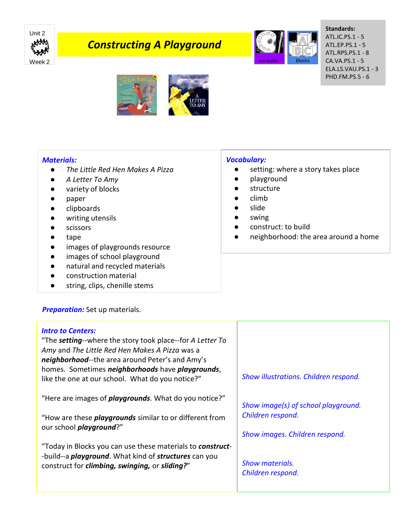

# *Constructing A Playground*



#### **Standards:** ATL.IC.PS.1 - 5 ATL.EP.PS.1 - 5 ATL.RPS.PS.1 - 8 CA.VA.PS.1 - 5 ELA.LS.VAU.PS.1 - 3 PHD.FM.PS.5 - 6



### *Materials:*

- *The Little Red Hen Makes A Pizza*
- *A Letter To Amy*
- variety of blocks
- paper
- clipboards
- writing utensils
- scissors
- tape
- images of playgrounds resource
- images of school playground
- natural and recycled materials
- construction material
- string, clips, chenille stems

### *Vocabulary:*

- setting: where a story takes place
- playground
- structure
- climb
- slide
- swing
- construct: to build
- neighborhood: the area around a home

## **Preparation:** Set up materials.

| <b>Intro to Centers:</b><br>"The setting--where the story took place--for A Letter To<br>Amy and The Little Red Hen Makes A Pizza was a<br>neighborhood--the area around Peter's and Amy's<br>homes. Sometimes neighborhoods have playgrounds,<br>like the one at our school. What do you notice?" | Show illustrations. Children respond.       |
|----------------------------------------------------------------------------------------------------------------------------------------------------------------------------------------------------------------------------------------------------------------------------------------------------|---------------------------------------------|
| "Here are images of <i>playgrounds</i> . What do you notice?"                                                                                                                                                                                                                                      | Show image(s) of school playground.         |
| "How are these <i>playgrounds</i> similar to or different from                                                                                                                                                                                                                                     | Children respond.                           |
| our school <i>playground</i> ?"                                                                                                                                                                                                                                                                    | Show images. Children respond.              |
| "Today in Blocks you can use these materials to construct-<br>-build--a <i>playground</i> . What kind of <i>structures</i> can you<br>construct for climbing, swinging, or sliding?"                                                                                                               | <b>Show materials.</b><br>Children respond. |